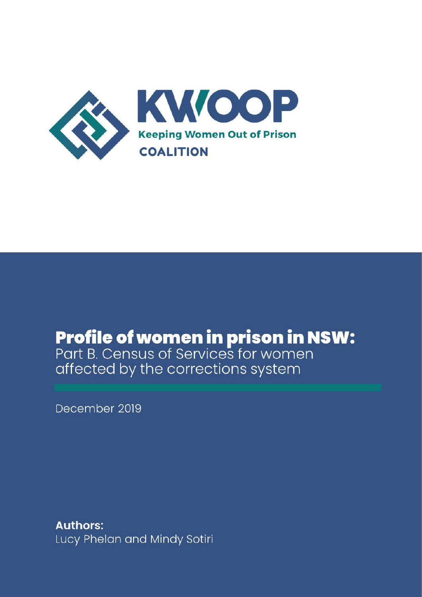

# **Profile of women in prison in NSW:**<br>Part B. Census of Services for women

affected by the corrections system

December 2019

**Authors:** Lucy Phelan and Mindy Sotiri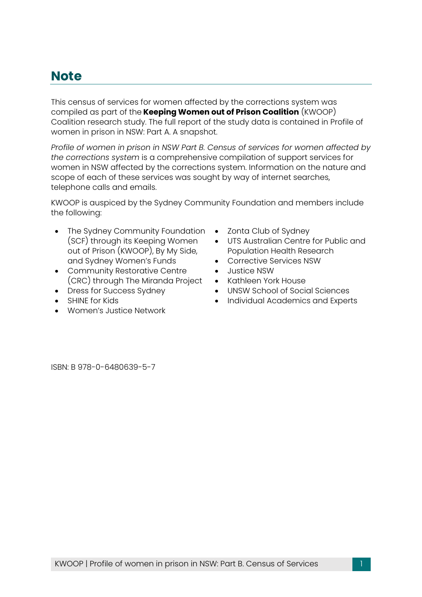## **Note**

This census of services for women affected by the corrections system was compiled as part of the **Keeping Women out of Prison Coalition** (KWOOP) Coalition research study. The full report of the study data is contained in Profile of women in prison in NSW: Part A. A snapshot.

*Profile of women in prison in NSW Part B. Census of services for women affected by the corrections system* is a comprehensive compilation of support services for women in NSW affected by the corrections system. Information on the nature and scope of each of these services was sought by way of internet searches, telephone calls and emails.

KWOOP is auspiced by the Sydney Community Foundation and members include the following:

- The Sydney Community Foundation Zonta Club of Sydney (SCF) through its Keeping Women out of Prison (KWOOP), By My Side, and Sydney Women's Funds
- Community Restorative Centre (CRC) through The Miranda Project
- Dress for Success Sydney
- SHINE for Kids
- Women's Justice Network
- 
- UTS Australian Centre for Public and Population Health Research
- Corrective Services NSW
- Justice NSW
- Kathleen York House
- UNSW School of Social Sciences
- Individual Academics and Experts

ISBN: B 978-0-6480639-5-7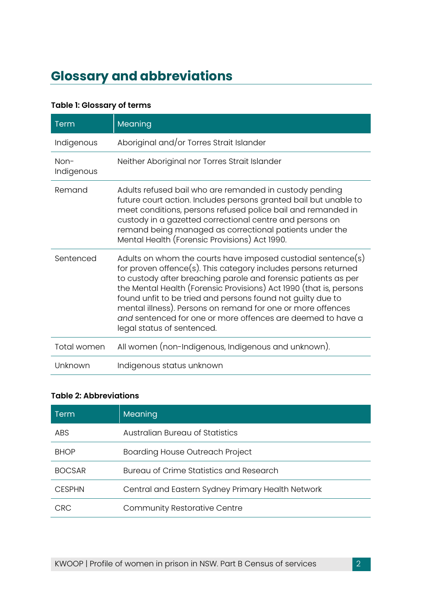# **Glossary and abbreviations**

#### **Table 1: Glossary of terms**

| <b>Term</b>          | Meaning                                                                                                                                                                                                                                                                                                                                                                                                                                                                                           |
|----------------------|---------------------------------------------------------------------------------------------------------------------------------------------------------------------------------------------------------------------------------------------------------------------------------------------------------------------------------------------------------------------------------------------------------------------------------------------------------------------------------------------------|
| Indigenous           | Aboriginal and/or Torres Strait Islander                                                                                                                                                                                                                                                                                                                                                                                                                                                          |
| $Non-$<br>Indigenous | Neither Aboriginal nor Torres Strait Islander                                                                                                                                                                                                                                                                                                                                                                                                                                                     |
| Remand               | Adults refused bail who are remanded in custody pending<br>future court action. Includes persons granted bail but unable to<br>meet conditions, persons refused police bail and remanded in<br>custody in a gazetted correctional centre and persons on<br>remand being managed as correctional patients under the<br>Mental Health (Forensic Provisions) Act 1990.                                                                                                                               |
| Sentenced            | Adults on whom the courts have imposed custodial sentence(s)<br>for proven offence(s). This category includes persons returned<br>to custody after breaching parole and forensic patients as per<br>the Mental Health (Forensic Provisions) Act 1990 (that is, persons<br>found unfit to be tried and persons found not guilty due to<br>mental illness). Persons on remand for one or more offences<br>and sentenced for one or more offences are deemed to have a<br>legal status of sentenced. |
| Total women          | All women (non-Indigenous, Indigenous and unknown).                                                                                                                                                                                                                                                                                                                                                                                                                                               |
| Unknown              | Indigenous status unknown                                                                                                                                                                                                                                                                                                                                                                                                                                                                         |

#### **Table 2: Abbreviations**

| Term          | Meaning                                           |
|---------------|---------------------------------------------------|
| ABS           | Australian Bureau of Statistics                   |
| <b>BHOP</b>   | <b>Boarding House Outreach Project</b>            |
| <b>BOCSAR</b> | Bureau of Crime Statistics and Research           |
| <b>CESPHN</b> | Central and Eastern Sydney Primary Health Network |
| CRC.          | <b>Community Restorative Centre</b>               |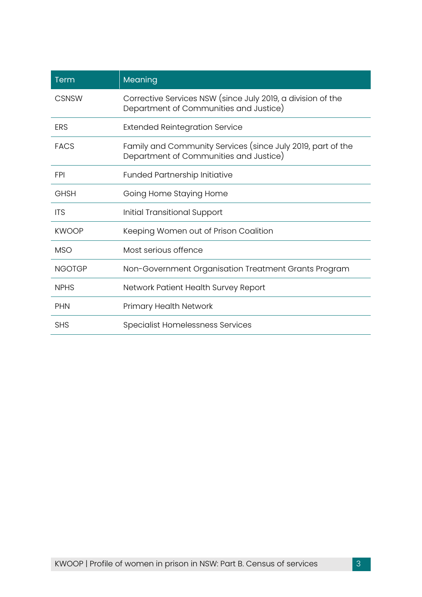| Term          | Meaning                                                                                               |
|---------------|-------------------------------------------------------------------------------------------------------|
| <b>CSNSW</b>  | Corrective Services NSW (since July 2019, a division of the<br>Department of Communities and Justice) |
| ERS           | <b>Extended Reintegration Service</b>                                                                 |
| <b>FACS</b>   | Family and Community Services (since July 2019, part of the<br>Department of Communities and Justice) |
| <b>FPI</b>    | <b>Funded Partnership Initiative</b>                                                                  |
| <b>GHSH</b>   | Going Home Staying Home                                                                               |
| <b>ITS</b>    | <b>Initial Transitional Support</b>                                                                   |
| <b>KWOOP</b>  | Keeping Women out of Prison Coalition                                                                 |
| <b>MSO</b>    | Most serious offence                                                                                  |
| <b>NGOTGP</b> | Non-Government Organisation Treatment Grants Program                                                  |
| <b>NPHS</b>   | Network Patient Health Survey Report                                                                  |
| <b>PHN</b>    | <b>Primary Health Network</b>                                                                         |
| <b>SHS</b>    | <b>Specialist Homelessness Services</b>                                                               |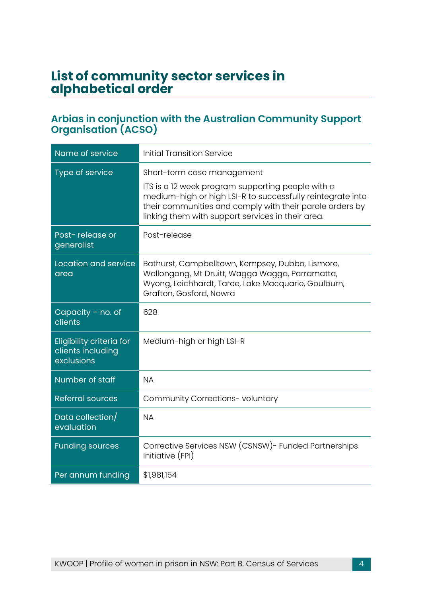## **List of community sector services in alphabetical order**

#### **Arbias in conjunction with the Australian Community Support Organisation (ACSO)**

| Name of service                                                    | <b>Initial Transition Service</b>                                                                                                                                                                                                |
|--------------------------------------------------------------------|----------------------------------------------------------------------------------------------------------------------------------------------------------------------------------------------------------------------------------|
| Type of service                                                    | Short-term case management                                                                                                                                                                                                       |
|                                                                    | ITS is a 12 week program supporting people with a<br>medium-high or high LSI-R to successfully reintegrate into<br>their communities and comply with their parole orders by<br>linking them with support services in their area. |
| Post-release or<br>generalist                                      | Post-release                                                                                                                                                                                                                     |
| Location and service<br>area                                       | Bathurst, Campbelltown, Kempsey, Dubbo, Lismore,<br>Wollongong, Mt Druitt, Wagga Wagga, Parramatta,<br>Wyong, Leichhardt, Taree, Lake Macquarie, Goulburn,<br>Grafton, Gosford, Nowra                                            |
| Capacity $-$ no. of<br>clients                                     | 628                                                                                                                                                                                                                              |
| <b>Eligibility criteria for</b><br>clients including<br>exclusions | Medium-high or high LSI-R                                                                                                                                                                                                        |
| Number of staff                                                    | <b>NA</b>                                                                                                                                                                                                                        |
| <b>Referral sources</b>                                            | Community Corrections-voluntary                                                                                                                                                                                                  |
| Data collection/<br>evaluation                                     | <b>NA</b>                                                                                                                                                                                                                        |
| <b>Funding sources</b>                                             | Corrective Services NSW (CSNSW) - Funded Partnerships<br>Initiative (FPI)                                                                                                                                                        |
| Per annum funding                                                  | \$1,981,154                                                                                                                                                                                                                      |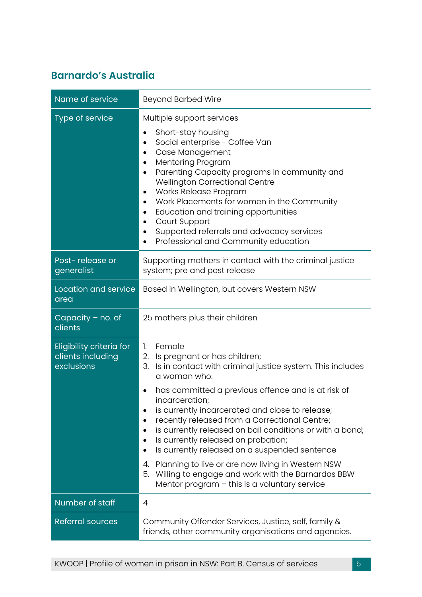#### **Barnardo's Australia**

| Name of service                                                    | <b>Beyond Barbed Wire</b>                                                                                                                                                                                                                                                                                                                                                                                                                                                                                                                                                                                                                                               |
|--------------------------------------------------------------------|-------------------------------------------------------------------------------------------------------------------------------------------------------------------------------------------------------------------------------------------------------------------------------------------------------------------------------------------------------------------------------------------------------------------------------------------------------------------------------------------------------------------------------------------------------------------------------------------------------------------------------------------------------------------------|
| Type of service                                                    | Multiple support services<br>Short-stay housing<br>$\bullet$<br>Social enterprise - Coffee Van<br>$\bullet$<br>Case Management<br>٠<br>Mentoring Program<br>$\bullet$<br>Parenting Capacity programs in community and<br>Wellington Correctional Centre<br>Works Release Program<br>$\bullet$<br>Work Placements for women in the Community<br>Education and training opportunities<br>$\bullet$<br>Court Support<br>٠<br>Supported referrals and advocacy services<br>Professional and Community education<br>٠                                                                                                                                                        |
| Post-release or<br>generalist                                      | Supporting mothers in contact with the criminal justice<br>system; pre and post release                                                                                                                                                                                                                                                                                                                                                                                                                                                                                                                                                                                 |
| Location and service<br>area                                       | Based in Wellington, but covers Western NSW                                                                                                                                                                                                                                                                                                                                                                                                                                                                                                                                                                                                                             |
| Capacity $-$ no. of<br>clients                                     | 25 mothers plus their children                                                                                                                                                                                                                                                                                                                                                                                                                                                                                                                                                                                                                                          |
| <b>Eligibility criteria for</b><br>clients including<br>exclusions | Female<br>1.<br>2.<br>Is pregnant or has children;<br>3.<br>Is in contact with criminal justice system. This includes<br>a woman who:<br>has committed a previous offence and is at risk of<br>$\bullet$<br>incarceration;<br>is currently incarcerated and close to release;<br>recently released from a Correctional Centre;<br>is currently released on bail conditions or with a bond;<br>Is currently released on probation;<br>Is currently released on a suspended sentence<br>$\bullet$<br>Planning to live or are now living in Western NSW<br>4.<br>5.<br>Willing to engage and work with the Barnardos BBW<br>Mentor program $-$ this is a voluntary service |
| Number of staff                                                    | $\overline{4}$                                                                                                                                                                                                                                                                                                                                                                                                                                                                                                                                                                                                                                                          |
| <b>Referral sources</b>                                            | Community Offender Services, Justice, self, family &<br>friends, other community organisations and agencies.                                                                                                                                                                                                                                                                                                                                                                                                                                                                                                                                                            |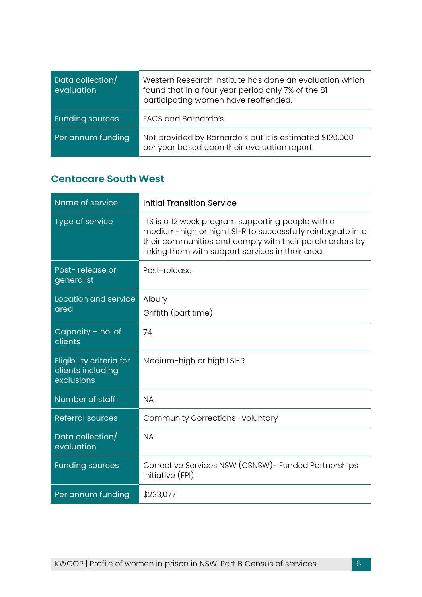| $\sqrt{\frac{1}{100}}$ Data collection<br>evaluation | Western Research Institute has done an evaluation which<br>found that in a four year period only 7% of the 81<br>participating women have reoffended. |
|------------------------------------------------------|-------------------------------------------------------------------------------------------------------------------------------------------------------|
| <b>Funding sources</b>                               | FACS and Barnardo's                                                                                                                                   |
| Per annum funding                                    | Not provided by Barnardo's but it is estimated \$120,000<br>per year based upon their evaluation report.                                              |

## **Centacare South West**

| Name of service                                                    | <b>Initial Transition Service</b>                                                                                                                                                                                                |
|--------------------------------------------------------------------|----------------------------------------------------------------------------------------------------------------------------------------------------------------------------------------------------------------------------------|
| <b>Type of service</b>                                             | ITS is a 12 week program supporting people with a<br>medium-high or high LSI-R to successfully reintegrate into<br>their communities and comply with their parole orders by<br>linking them with support services in their area. |
| Post-release or<br>generalist                                      | Post-release                                                                                                                                                                                                                     |
| Location and service<br>area                                       | Albury<br>Griffith (part time)                                                                                                                                                                                                   |
| Capacity $-$ no. of<br>clients                                     | 74                                                                                                                                                                                                                               |
| <b>Eligibility criteria for</b><br>clients including<br>exclusions | Medium-high or high LSI-R                                                                                                                                                                                                        |
| Number of staff                                                    | <b>NA</b>                                                                                                                                                                                                                        |
| <b>Referral sources</b>                                            | Community Corrections-voluntary                                                                                                                                                                                                  |
| Data collection/<br>evaluation                                     | <b>NA</b>                                                                                                                                                                                                                        |
| <b>Funding sources</b>                                             | Corrective Services NSW (CSNSW) - Funded Partnerships<br>Initiative (FPI)                                                                                                                                                        |
| Per annum funding                                                  | \$233,077                                                                                                                                                                                                                        |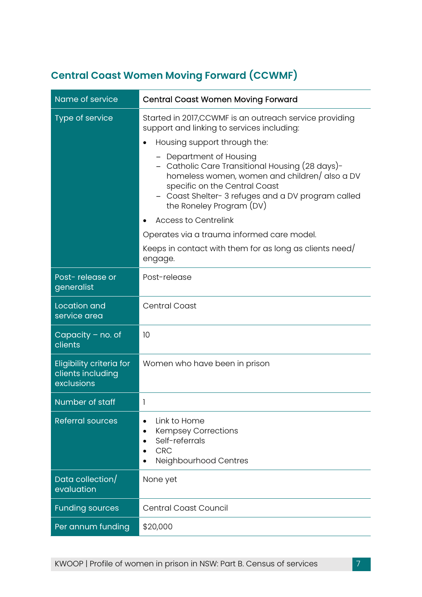## **Central Coast Women Moving Forward (CCWMF)**

| Name of service                                                    | <b>Central Coast Women Moving Forward</b>                                                                                                                                                                                                                                                                                                                                                                             |
|--------------------------------------------------------------------|-----------------------------------------------------------------------------------------------------------------------------------------------------------------------------------------------------------------------------------------------------------------------------------------------------------------------------------------------------------------------------------------------------------------------|
| Type of service                                                    | Started in 2017, CCWMF is an outreach service providing<br>support and linking to services including:<br>Housing support through the:<br>- Department of Housing<br>- Catholic Care Transitional Housing (28 days)-<br>homeless women, women and children/ also a DV<br>specific on the Central Coast<br>- Coast Shelter-3 refuges and a DV program called<br>the Roneley Program (DV)<br><b>Access to Centrelink</b> |
|                                                                    | Operates via a trauma informed care model.<br>Keeps in contact with them for as long as clients need/<br>engage.                                                                                                                                                                                                                                                                                                      |
| Post-release or<br>generalist                                      | Post-release                                                                                                                                                                                                                                                                                                                                                                                                          |
| Location and<br>service area                                       | <b>Central Coast</b>                                                                                                                                                                                                                                                                                                                                                                                                  |
| Capacity $-$ no. of<br>clients                                     | 10                                                                                                                                                                                                                                                                                                                                                                                                                    |
| <b>Eligibility criteria for</b><br>clients including<br>exclusions | Women who have been in prison                                                                                                                                                                                                                                                                                                                                                                                         |
| Number of staff                                                    |                                                                                                                                                                                                                                                                                                                                                                                                                       |
| <b>Referral sources</b>                                            | Link to Home<br><b>Kempsey Corrections</b><br>Self-referrals<br><b>CRC</b><br>Neighbourhood Centres                                                                                                                                                                                                                                                                                                                   |
| Data collection/<br>evaluation                                     | None yet                                                                                                                                                                                                                                                                                                                                                                                                              |
| <b>Funding sources</b>                                             | <b>Central Coast Council</b>                                                                                                                                                                                                                                                                                                                                                                                          |
| Per annum funding                                                  | \$20,000                                                                                                                                                                                                                                                                                                                                                                                                              |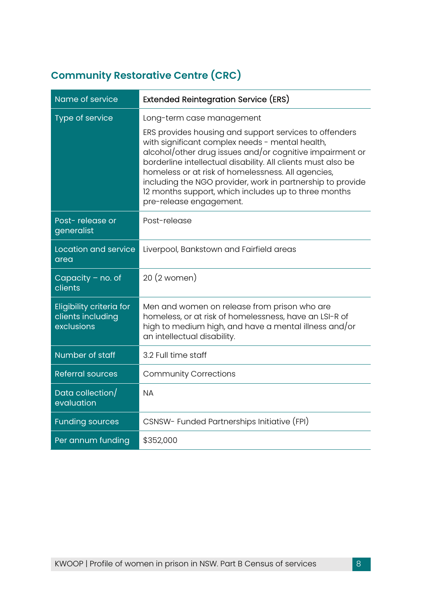| Name of service                                                    | <b>Extended Reintegration Service (ERS)</b>                                                                                                                                                                                                                                                                                                                                                                                                  |
|--------------------------------------------------------------------|----------------------------------------------------------------------------------------------------------------------------------------------------------------------------------------------------------------------------------------------------------------------------------------------------------------------------------------------------------------------------------------------------------------------------------------------|
| Type of service                                                    | Long-term case management                                                                                                                                                                                                                                                                                                                                                                                                                    |
|                                                                    | ERS provides housing and support services to offenders<br>with significant complex needs - mental health,<br>alcohol/other drug issues and/or cognitive impairment or<br>borderline intellectual disability. All clients must also be<br>homeless or at risk of homelessness. All agencies,<br>including the NGO provider, work in partnership to provide<br>12 months support, which includes up to three months<br>pre-release engagement. |
| Post-release or<br>generalist                                      | Post-release                                                                                                                                                                                                                                                                                                                                                                                                                                 |
| Location and service<br>area                                       | Liverpool, Bankstown and Fairfield areas                                                                                                                                                                                                                                                                                                                                                                                                     |
| Capacity - no. of<br>clients                                       | 20 (2 women)                                                                                                                                                                                                                                                                                                                                                                                                                                 |
| <b>Eligibility criteria for</b><br>clients including<br>exclusions | Men and women on release from prison who are<br>homeless, or at risk of homelessness, have an LSI-R of<br>high to medium high, and have a mental illness and/or<br>an intellectual disability.                                                                                                                                                                                                                                               |
| Number of staff                                                    | 3.2 Full time staff                                                                                                                                                                                                                                                                                                                                                                                                                          |
| <b>Referral sources</b>                                            | <b>Community Corrections</b>                                                                                                                                                                                                                                                                                                                                                                                                                 |
| Data collection/<br>evaluation                                     | <b>NA</b>                                                                                                                                                                                                                                                                                                                                                                                                                                    |
| <b>Funding sources</b>                                             | CSNSW- Funded Partnerships Initiative (FPI)                                                                                                                                                                                                                                                                                                                                                                                                  |
| Per annum funding                                                  | \$352,000                                                                                                                                                                                                                                                                                                                                                                                                                                    |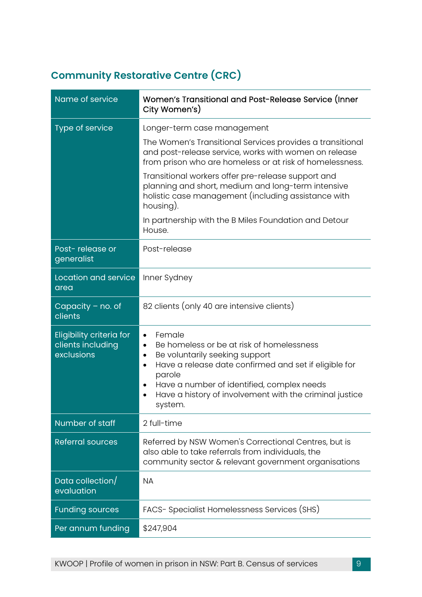| Name of service                                                    | Women's Transitional and Post-Release Service (Inner<br>City Women's)                                                                                                                                                                                                                                                            |
|--------------------------------------------------------------------|----------------------------------------------------------------------------------------------------------------------------------------------------------------------------------------------------------------------------------------------------------------------------------------------------------------------------------|
| Type of service                                                    | Longer-term case management                                                                                                                                                                                                                                                                                                      |
|                                                                    | The Women's Transitional Services provides a transitional<br>and post-release service, works with women on release<br>from prison who are homeless or at risk of homelessness.                                                                                                                                                   |
|                                                                    | Transitional workers offer pre-release support and<br>planning and short, medium and long-term intensive<br>holistic case management (including assistance with<br>housing).                                                                                                                                                     |
|                                                                    | In partnership with the B Miles Foundation and Detour<br>House.                                                                                                                                                                                                                                                                  |
| Post-release or<br>generalist                                      | Post-release                                                                                                                                                                                                                                                                                                                     |
| Location and service<br>area                                       | Inner Sydney                                                                                                                                                                                                                                                                                                                     |
| Capacity $-$ no. of<br>clients                                     | 82 clients (only 40 are intensive clients)                                                                                                                                                                                                                                                                                       |
| <b>Eligibility criteria for</b><br>clients including<br>exclusions | Female<br>$\bullet$<br>Be homeless or be at risk of homelessness<br>$\bullet$<br>Be voluntarily seeking support<br>$\bullet$<br>Have a release date confirmed and set if eligible for<br>$\bullet$<br>parole<br>Have a number of identified, complex needs<br>Have a history of involvement with the criminal justice<br>system. |
| Number of staff                                                    | 2 full-time                                                                                                                                                                                                                                                                                                                      |
| <b>Referral sources</b>                                            | Referred by NSW Women's Correctional Centres, but is<br>also able to take referrals from individuals, the<br>community sector & relevant government organisations                                                                                                                                                                |
| Data collection/<br>evaluation                                     | <b>NA</b>                                                                                                                                                                                                                                                                                                                        |
| <b>Funding sources</b>                                             | FACS- Specialist Homelessness Services (SHS)                                                                                                                                                                                                                                                                                     |
| Per annum funding                                                  | \$247,904                                                                                                                                                                                                                                                                                                                        |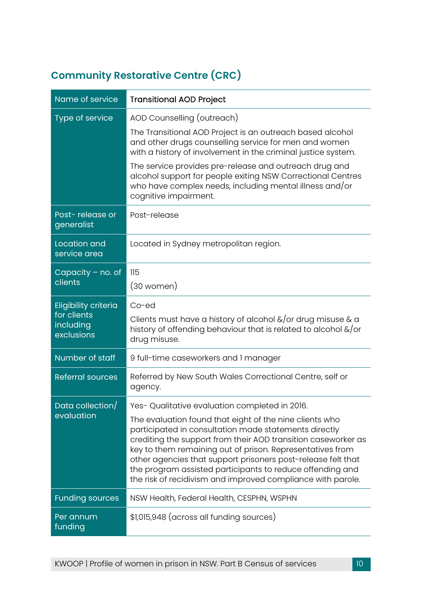| Name of service                                                       | <b>Transitional AOD Project</b>                                                                                                                                                                                                                                                                                                                                                                                                                                                              |
|-----------------------------------------------------------------------|----------------------------------------------------------------------------------------------------------------------------------------------------------------------------------------------------------------------------------------------------------------------------------------------------------------------------------------------------------------------------------------------------------------------------------------------------------------------------------------------|
| Type of service                                                       | AOD Counselling (outreach)<br>The Transitional AOD Project is an outreach based alcohol<br>and other drugs counselling service for men and women<br>with a history of involvement in the criminal justice system.                                                                                                                                                                                                                                                                            |
|                                                                       | The service provides pre-release and outreach drug and<br>alcohol support for people exiting NSW Correctional Centres<br>who have complex needs, including mental illness and/or<br>cognitive impairment.                                                                                                                                                                                                                                                                                    |
| Post-release or<br>generalist                                         | Post-release                                                                                                                                                                                                                                                                                                                                                                                                                                                                                 |
| Location and<br>service area                                          | Located in Sydney metropolitan region.                                                                                                                                                                                                                                                                                                                                                                                                                                                       |
| Capacity $-$ no. of<br>clients                                        | 115<br>$(30 \text{ women})$                                                                                                                                                                                                                                                                                                                                                                                                                                                                  |
| <b>Eligibility criteria</b><br>for clients<br>including<br>exclusions | $Co$ -ed<br>Clients must have a history of alcohol $\&/$ or drug misuse & a<br>history of offending behaviour that is related to alcohol $\&/$ or<br>drug misuse.                                                                                                                                                                                                                                                                                                                            |
| Number of staff                                                       | 9 full-time caseworkers and 1 manager                                                                                                                                                                                                                                                                                                                                                                                                                                                        |
| <b>Referral sources</b>                                               | Referred by New South Wales Correctional Centre, self or<br>agency.                                                                                                                                                                                                                                                                                                                                                                                                                          |
| Data collection/<br>evaluation                                        | Yes- Qualitative evaluation completed in 2016.<br>The evaluation found that eight of the nine clients who<br>participated in consultation made statements directly<br>crediting the support from their AOD transition caseworker as<br>key to them remaining out of prison. Representatives from<br>other agencies that support prisoners post-release felt that<br>the program assisted participants to reduce offending and<br>the risk of recidivism and improved compliance with parole. |
| <b>Funding sources</b>                                                | NSW Health, Federal Health, CESPHN, WSPHN                                                                                                                                                                                                                                                                                                                                                                                                                                                    |
| Per annum<br>funding                                                  | \$1,015,948 (across all funding sources)                                                                                                                                                                                                                                                                                                                                                                                                                                                     |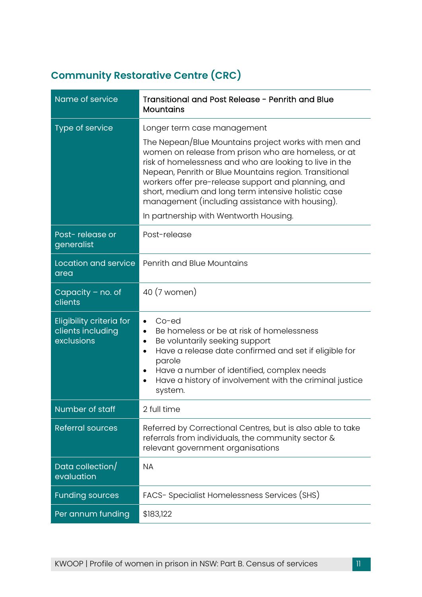| Name of service                                                    | Transitional and Post Release - Penrith and Blue<br><b>Mountains</b>                                                                                                                                                                                                                                                                                                                                                                         |
|--------------------------------------------------------------------|----------------------------------------------------------------------------------------------------------------------------------------------------------------------------------------------------------------------------------------------------------------------------------------------------------------------------------------------------------------------------------------------------------------------------------------------|
| Type of service                                                    | Longer term case management                                                                                                                                                                                                                                                                                                                                                                                                                  |
|                                                                    | The Nepean/Blue Mountains project works with men and<br>women on release from prison who are homeless, or at<br>risk of homelessness and who are looking to live in the<br>Nepean, Penrith or Blue Mountains region. Transitional<br>workers offer pre-release support and planning, and<br>short, medium and long term intensive holistic case<br>management (including assistance with housing).<br>In partnership with Wentworth Housing. |
| Post-release or<br>generalist                                      | Post-release                                                                                                                                                                                                                                                                                                                                                                                                                                 |
| Location and service<br>area                                       | Penrith and Blue Mountains                                                                                                                                                                                                                                                                                                                                                                                                                   |
| Capacity $-$ no. of<br>clients                                     | 40 (7 women)                                                                                                                                                                                                                                                                                                                                                                                                                                 |
| <b>Eligibility criteria for</b><br>clients including<br>exclusions | $Co$ -ed<br>Be homeless or be at risk of homelessness<br>$\bullet$<br>Be voluntarily seeking support<br>$\bullet$<br>Have a release date confirmed and set if eligible for<br>parole<br>Have a number of identified, complex needs<br>$\bullet$<br>Have a history of involvement with the criminal justice<br>$\bullet$<br>system.                                                                                                           |
| Number of staff                                                    | 2 full time                                                                                                                                                                                                                                                                                                                                                                                                                                  |
| <b>Referral sources</b>                                            | Referred by Correctional Centres, but is also able to take<br>referrals from individuals, the community sector &<br>relevant government organisations                                                                                                                                                                                                                                                                                        |
| Data collection/<br>evaluation                                     | <b>NA</b>                                                                                                                                                                                                                                                                                                                                                                                                                                    |
| <b>Funding sources</b>                                             | FACS- Specialist Homelessness Services (SHS)                                                                                                                                                                                                                                                                                                                                                                                                 |
| Per annum funding                                                  | \$183,122                                                                                                                                                                                                                                                                                                                                                                                                                                    |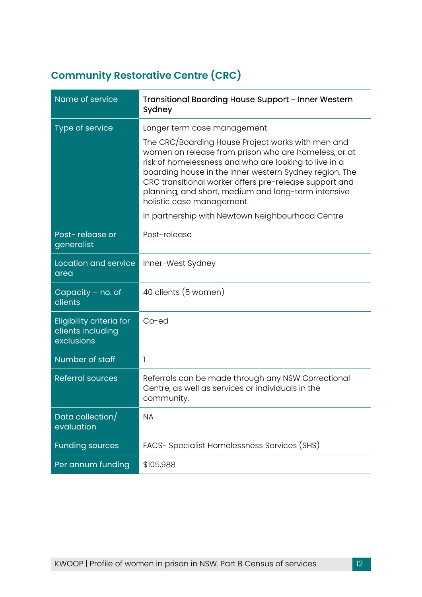| Name of service                                                    | Transitional Boarding House Support - Inner Western<br>Sydney                                                                                                                                                                                                                                                                                                              |
|--------------------------------------------------------------------|----------------------------------------------------------------------------------------------------------------------------------------------------------------------------------------------------------------------------------------------------------------------------------------------------------------------------------------------------------------------------|
| Type of service                                                    | Longer term case management                                                                                                                                                                                                                                                                                                                                                |
|                                                                    | The CRC/Boarding House Project works with men and<br>women on release from prison who are homeless, or at<br>risk of homelessness and who are looking to live in a<br>boarding house in the inner western Sydney region. The<br>CRC transitional worker offers pre-release support and<br>planning, and short, medium and long-term intensive<br>holistic case management. |
|                                                                    | In partnership with Newtown Neighbourhood Centre                                                                                                                                                                                                                                                                                                                           |
| Post-release or<br>generalist                                      | Post-release                                                                                                                                                                                                                                                                                                                                                               |
| Location and service<br>area                                       | Inner-West Sydney                                                                                                                                                                                                                                                                                                                                                          |
| Capacity $-$ no. of<br>clients                                     | 40 clients (5 women)                                                                                                                                                                                                                                                                                                                                                       |
| <b>Eligibility criteria for</b><br>clients including<br>exclusions | $Co$ -ed                                                                                                                                                                                                                                                                                                                                                                   |
| Number of staff                                                    | 1                                                                                                                                                                                                                                                                                                                                                                          |
| <b>Referral sources</b>                                            | Referrals can be made through any NSW Correctional<br>Centre, as well as services or individuals in the<br>community.                                                                                                                                                                                                                                                      |
| Data collection/<br>evaluation                                     | <b>NA</b>                                                                                                                                                                                                                                                                                                                                                                  |
| <b>Funding sources</b>                                             | FACS- Specialist Homelessness Services (SHS)                                                                                                                                                                                                                                                                                                                               |
| Per annum funding                                                  | \$105,988                                                                                                                                                                                                                                                                                                                                                                  |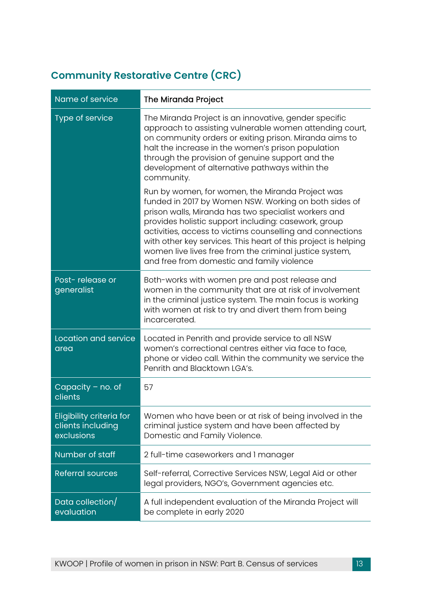| Name of service                                                    | The Miranda Project                                                                                                                                                                                                                                                                                                                                                                                                                                               |
|--------------------------------------------------------------------|-------------------------------------------------------------------------------------------------------------------------------------------------------------------------------------------------------------------------------------------------------------------------------------------------------------------------------------------------------------------------------------------------------------------------------------------------------------------|
| Type of service                                                    | The Miranda Project is an innovative, gender specific<br>approach to assisting vulnerable women attending court,<br>on community orders or exiting prison. Miranda aims to<br>halt the increase in the women's prison population<br>through the provision of genuine support and the<br>development of alternative pathways within the<br>community.                                                                                                              |
|                                                                    | Run by women, for women, the Miranda Project was<br>funded in 2017 by Women NSW. Working on both sides of<br>prison walls, Miranda has two specialist workers and<br>provides holistic support including: casework, group<br>activities, access to victims counselling and connections<br>with other key services. This heart of this project is helping<br>women live lives free from the criminal justice system,<br>and free from domestic and family violence |
| Post-release or<br>generalist                                      | Both-works with women pre and post release and<br>women in the community that are at risk of involvement<br>in the criminal justice system. The main focus is working<br>with women at risk to try and divert them from being<br>incarcerated.                                                                                                                                                                                                                    |
| Location and service<br>area                                       | Located in Penrith and provide service to all NSW<br>women's correctional centres either via face to face,<br>phone or video call. Within the community we service the<br>Penrith and Blacktown LGA's.                                                                                                                                                                                                                                                            |
| Capacity $-$ no. of<br>clients                                     | 57                                                                                                                                                                                                                                                                                                                                                                                                                                                                |
| <b>Eligibility criteria for</b><br>clients including<br>exclusions | Women who have been or at risk of being involved in the<br>criminal justice system and have been affected by<br>Domestic and Family Violence.                                                                                                                                                                                                                                                                                                                     |
| Number of staff                                                    | 2 full-time caseworkers and 1 manager                                                                                                                                                                                                                                                                                                                                                                                                                             |
| <b>Referral sources</b>                                            | Self-referral, Corrective Services NSW, Legal Aid or other<br>legal providers, NGO's, Government agencies etc.                                                                                                                                                                                                                                                                                                                                                    |
| Data collection/<br>evaluation                                     | A full independent evaluation of the Miranda Project will<br>be complete in early 2020                                                                                                                                                                                                                                                                                                                                                                            |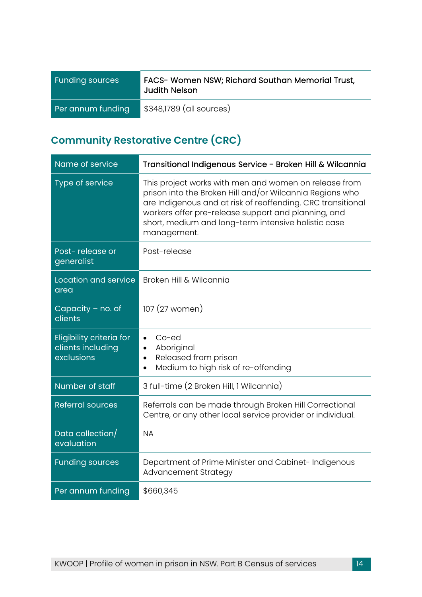| <b>Funding sources</b> | FACS- Women NSW; Richard Southan Memorial Trust,<br><b>Judith Nelson</b> |
|------------------------|--------------------------------------------------------------------------|
| Per annum funding      | \$348,1789 (all sources)                                                 |

| Name of service                                                    | Transitional Indigenous Service - Broken Hill & Wilcannia                                                                                                                                                                                                                                                     |
|--------------------------------------------------------------------|---------------------------------------------------------------------------------------------------------------------------------------------------------------------------------------------------------------------------------------------------------------------------------------------------------------|
| <b>Type of service</b>                                             | This project works with men and women on release from<br>prison into the Broken Hill and/or Wilcannia Regions who<br>are Indigenous and at risk of reoffending. CRC transitional<br>workers offer pre-release support and planning, and<br>short, medium and long-term intensive holistic case<br>management. |
| Post-release or<br>generalist                                      | Post-release                                                                                                                                                                                                                                                                                                  |
| Location and service<br>area                                       | Broken Hill & Wilcannia                                                                                                                                                                                                                                                                                       |
| Capacity $-$ no. of<br>clients                                     | 107 (27 women)                                                                                                                                                                                                                                                                                                |
| <b>Eligibility criteria for</b><br>clients including<br>exclusions | $Co$ -ed<br>$\bullet$<br>Aboriginal<br>$\bullet$<br>Released from prison<br>$\bullet$<br>Medium to high risk of re-offending                                                                                                                                                                                  |
| Number of staff                                                    | 3 full-time (2 Broken Hill, 1 Wilcannia)                                                                                                                                                                                                                                                                      |
| <b>Referral sources</b>                                            | Referrals can be made through Broken Hill Correctional<br>Centre, or any other local service provider or individual.                                                                                                                                                                                          |
| Data collection/<br>evaluation                                     | <b>NA</b>                                                                                                                                                                                                                                                                                                     |
| <b>Funding sources</b>                                             | Department of Prime Minister and Cabinet-Indigenous<br>Advancement Strategy                                                                                                                                                                                                                                   |
| Per annum funding                                                  | \$660,345                                                                                                                                                                                                                                                                                                     |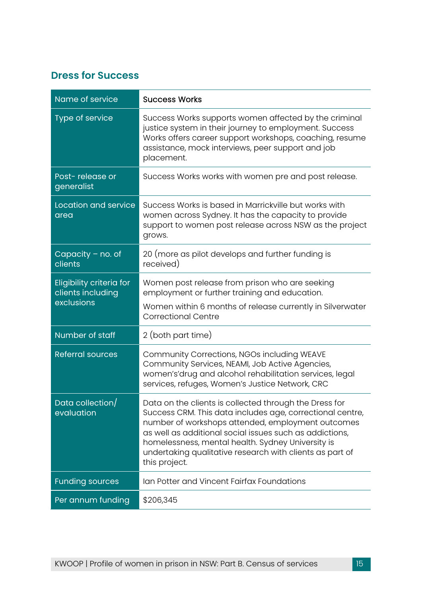#### **Dress for Success**

| Name of service                                                    | <b>Success Works</b>                                                                                                                                                                                                                                                                                                                                                  |
|--------------------------------------------------------------------|-----------------------------------------------------------------------------------------------------------------------------------------------------------------------------------------------------------------------------------------------------------------------------------------------------------------------------------------------------------------------|
| Type of service                                                    | Success Works supports women affected by the criminal<br>justice system in their journey to employment. Success<br>Works offers career support workshops, coaching, resume<br>assistance, mock interviews, peer support and job<br>placement.                                                                                                                         |
| Post-release or<br>generalist                                      | Success Works works with women pre and post release.                                                                                                                                                                                                                                                                                                                  |
| Location and service<br>area                                       | Success Works is based in Marrickville but works with<br>women across Sydney. It has the capacity to provide<br>support to women post release across NSW as the project<br>grows.                                                                                                                                                                                     |
| Capacity $-$ no. of<br>clients                                     | 20 (more as pilot develops and further funding is<br>received)                                                                                                                                                                                                                                                                                                        |
| <b>Eligibility criteria for</b><br>clients including<br>exclusions | Women post release from prison who are seeking<br>employment or further training and education.<br>Women within 6 months of release currently in Silverwater<br><b>Correctional Centre</b>                                                                                                                                                                            |
| Number of staff                                                    | 2 (both part time)                                                                                                                                                                                                                                                                                                                                                    |
| <b>Referral sources</b>                                            | Community Corrections, NGOs including WEAVE<br>Community Services, NEAMI, Job Active Agencies,<br>women's'drug and alcohol rehabilitation services, legal<br>services, refuges, Women's Justice Network, CRC                                                                                                                                                          |
| Data collection/<br>evaluation                                     | Data on the clients is collected through the Dress for<br>Success CRM. This data includes age, correctional centre,<br>number of workshops attended, employment outcomes<br>as well as additional social issues such as addictions,<br>homelessness, mental health. Sydney University is<br>undertaking qualitative research with clients as part of<br>this project. |
| <b>Funding sources</b>                                             | Ian Potter and Vincent Fairfax Foundations                                                                                                                                                                                                                                                                                                                            |
| Per annum funding                                                  | \$206,345                                                                                                                                                                                                                                                                                                                                                             |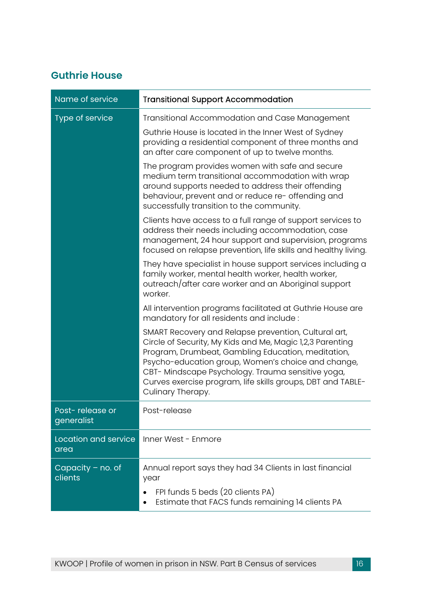#### **Guthrie House**

| Name of service                | <b>Transitional Support Accommodation</b>                                                                                                                                                                                                                                                                                                                              |
|--------------------------------|------------------------------------------------------------------------------------------------------------------------------------------------------------------------------------------------------------------------------------------------------------------------------------------------------------------------------------------------------------------------|
| Type of service                | Transitional Accommodation and Case Management<br>Guthrie House is located in the Inner West of Sydney<br>providing a residential component of three months and<br>an after care component of up to twelve months.                                                                                                                                                     |
|                                | The program provides women with safe and secure<br>medium term transitional accommodation with wrap<br>around supports needed to address their offending<br>behaviour, prevent and or reduce re- offending and<br>successfully transition to the community.                                                                                                            |
|                                | Clients have access to a full range of support services to<br>address their needs including accommodation, case<br>management, 24 hour support and supervision, programs<br>focused on relapse prevention, life skills and healthy living.                                                                                                                             |
|                                | They have specialist in house support services including a<br>family worker, mental health worker, health worker,<br>outreach/after care worker and an Aboriginal support<br>worker.                                                                                                                                                                                   |
|                                | All intervention programs facilitated at Guthrie House are<br>mandatory for all residents and include:                                                                                                                                                                                                                                                                 |
|                                | SMART Recovery and Relapse prevention, Cultural art,<br>Circle of Security, My Kids and Me, Magic 1,2,3 Parenting<br>Program, Drumbeat, Gambling Education, meditation,<br>Psycho-education group, Women's choice and change,<br>CBT- Mindscape Psychology. Trauma sensitive yoga,<br>Curves exercise program, life skills groups, DBT and TABLE-<br>Culinary Therapy. |
| Post-release or<br>generalist  | Post-release                                                                                                                                                                                                                                                                                                                                                           |
| Location and service<br>area   | Inner West - Enmore                                                                                                                                                                                                                                                                                                                                                    |
| Capacity $-$ no. of<br>clients | Annual report says they had 34 Clients in last financial<br>year<br>FPI funds 5 beds (20 clients PA)<br>Estimate that FACS funds remaining 14 clients PA<br>$\bullet$                                                                                                                                                                                                  |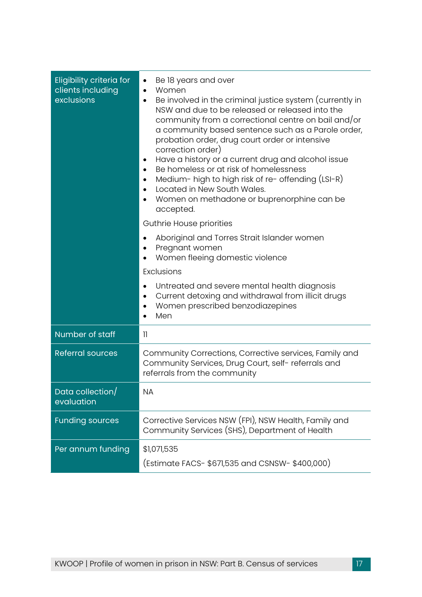| <b>Eligibility criteria for</b><br>clients including<br>exclusions | Be 18 years and over<br>$\bullet$<br>Women<br>$\bullet$<br>Be involved in the criminal justice system (currently in<br>$\bullet$<br>NSW and due to be released or released into the<br>community from a correctional centre on bail and/or<br>a community based sentence such as a Parole order,<br>probation order, drug court order or intensive<br>correction order)<br>Have a history or a current drug and alcohol issue<br>$\bullet$<br>Be homeless or at risk of homelessness<br>$\bullet$<br>Medium- high to high risk of re- offending (LSI-R)<br>$\bullet$<br>Located in New South Wales.<br>$\bullet$<br>Women on methadone or buprenorphine can be<br>٠<br>accepted.<br>Guthrie House priorities |
|--------------------------------------------------------------------|--------------------------------------------------------------------------------------------------------------------------------------------------------------------------------------------------------------------------------------------------------------------------------------------------------------------------------------------------------------------------------------------------------------------------------------------------------------------------------------------------------------------------------------------------------------------------------------------------------------------------------------------------------------------------------------------------------------|
|                                                                    | Aboriginal and Torres Strait Islander women<br>٠<br>Pregnant women<br>Women fleeing domestic violence                                                                                                                                                                                                                                                                                                                                                                                                                                                                                                                                                                                                        |
|                                                                    | Exclusions                                                                                                                                                                                                                                                                                                                                                                                                                                                                                                                                                                                                                                                                                                   |
|                                                                    | Untreated and severe mental health diagnosis<br>Current detoxing and withdrawal from illicit drugs<br>$\bullet$<br>Women prescribed benzodiazepines<br>Men                                                                                                                                                                                                                                                                                                                                                                                                                                                                                                                                                   |
| Number of staff                                                    | $\mathbf{1}$                                                                                                                                                                                                                                                                                                                                                                                                                                                                                                                                                                                                                                                                                                 |
| <b>Referral sources</b>                                            | Community Corrections, Corrective services, Family and<br>Community Services, Drug Court, self-referrals and<br>referrals from the community                                                                                                                                                                                                                                                                                                                                                                                                                                                                                                                                                                 |
| Data collection/<br>evaluation                                     | <b>NA</b>                                                                                                                                                                                                                                                                                                                                                                                                                                                                                                                                                                                                                                                                                                    |
| <b>Funding sources</b>                                             | Corrective Services NSW (FPI), NSW Health, Family and<br>Community Services (SHS), Department of Health                                                                                                                                                                                                                                                                                                                                                                                                                                                                                                                                                                                                      |
| Per annum funding                                                  | \$1,071,535<br>(Estimate FACS- \$671,535 and CSNSW- \$400,000)                                                                                                                                                                                                                                                                                                                                                                                                                                                                                                                                                                                                                                               |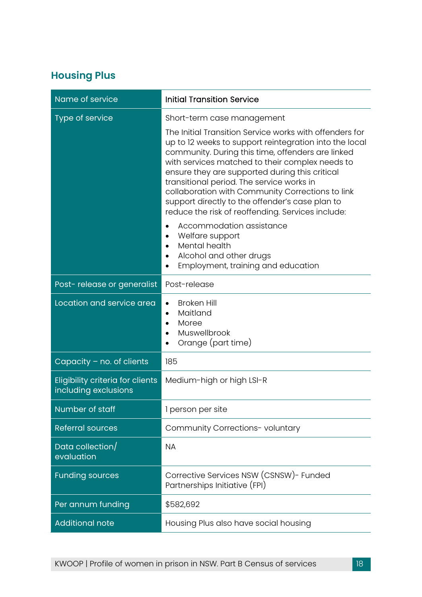## **Housing Plus**

| Name of service                                                 | <b>Initial Transition Service</b>                                                                                                                                                                                                                                                                                                                                                                                                                                                                                  |
|-----------------------------------------------------------------|--------------------------------------------------------------------------------------------------------------------------------------------------------------------------------------------------------------------------------------------------------------------------------------------------------------------------------------------------------------------------------------------------------------------------------------------------------------------------------------------------------------------|
| <b>Type of service</b>                                          | Short-term case management<br>The Initial Transition Service works with offenders for<br>up to 12 weeks to support reintegration into the local<br>community. During this time, offenders are linked<br>with services matched to their complex needs to<br>ensure they are supported during this critical<br>transitional period. The service works in<br>collaboration with Community Corrections to link<br>support directly to the offender's case plan to<br>reduce the risk of reoffending. Services include: |
|                                                                 | Accommodation assistance<br>Welfare support<br>$\bullet$<br>Mental health<br>$\bullet$<br>Alcohol and other drugs<br>Employment, training and education                                                                                                                                                                                                                                                                                                                                                            |
| Post-release or generalist                                      | Post-release                                                                                                                                                                                                                                                                                                                                                                                                                                                                                                       |
| Location and service area                                       | <b>Broken Hill</b><br>$\bullet$<br>Maitland<br>$\bullet$<br>Moree<br>Muswellbrook<br>Orange (part time)<br>$\bullet$                                                                                                                                                                                                                                                                                                                                                                                               |
| Capacity $-$ no. of clients                                     | 185                                                                                                                                                                                                                                                                                                                                                                                                                                                                                                                |
| <b>Eligibility criteria for clients</b><br>including exclusions | Medium-high or high LSI-R                                                                                                                                                                                                                                                                                                                                                                                                                                                                                          |
| Number of staff                                                 | 1 person per site                                                                                                                                                                                                                                                                                                                                                                                                                                                                                                  |
| <b>Referral sources</b>                                         | Community Corrections-voluntary                                                                                                                                                                                                                                                                                                                                                                                                                                                                                    |
| Data collection/<br>evaluation                                  | <b>NA</b>                                                                                                                                                                                                                                                                                                                                                                                                                                                                                                          |
| <b>Funding sources</b>                                          | Corrective Services NSW (CSNSW)- Funded<br>Partnerships Initiative (FPI)                                                                                                                                                                                                                                                                                                                                                                                                                                           |
| Per annum funding                                               | \$582,692                                                                                                                                                                                                                                                                                                                                                                                                                                                                                                          |
| <b>Additional note</b>                                          | Housing Plus also have social housing                                                                                                                                                                                                                                                                                                                                                                                                                                                                              |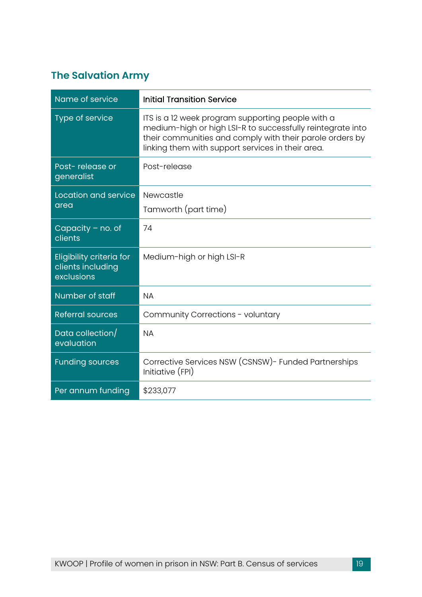## **The Salvation Army**

| Name of service                                             | <b>Initial Transition Service</b>                                                                                                                                                                                                |
|-------------------------------------------------------------|----------------------------------------------------------------------------------------------------------------------------------------------------------------------------------------------------------------------------------|
| Type of service                                             | ITS is a 12 week program supporting people with a<br>medium-high or high LSI-R to successfully reintegrate into<br>their communities and comply with their parole orders by<br>linking them with support services in their area. |
| Post-release or<br>generalist                               | Post-release                                                                                                                                                                                                                     |
| Location and service                                        | Newcastle                                                                                                                                                                                                                        |
| area                                                        | Tamworth (part time)                                                                                                                                                                                                             |
| Capacity $-$ no. of<br>clients                              | 74                                                                                                                                                                                                                               |
| Eligibility criteria for<br>clients including<br>exclusions | Medium-high or high LSI-R                                                                                                                                                                                                        |
| Number of staff                                             | <b>NA</b>                                                                                                                                                                                                                        |
| <b>Referral sources</b>                                     | Community Corrections - voluntary                                                                                                                                                                                                |
| Data collection/<br>evaluation                              | <b>NA</b>                                                                                                                                                                                                                        |
| <b>Funding sources</b>                                      | Corrective Services NSW (CSNSW) - Funded Partnerships<br>Initiative (FPI)                                                                                                                                                        |
| Per annum funding                                           | \$233,077                                                                                                                                                                                                                        |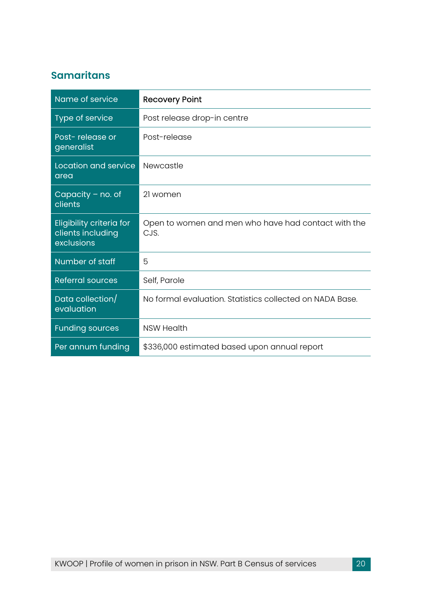#### **Samaritans**

| Name of service                                                    | <b>Recovery Point</b>                                       |
|--------------------------------------------------------------------|-------------------------------------------------------------|
| <b>Type of service</b>                                             | Post release drop-in centre                                 |
| Post-release or<br>generalist                                      | Post-release                                                |
| Location and service<br>area                                       | Newcastle                                                   |
| $Capacity - no. of$<br>clients                                     | 21 women                                                    |
| <b>Eligibility criteria for</b><br>clients including<br>exclusions | Open to women and men who have had contact with the<br>CJS. |
| Number of staff                                                    | 5                                                           |
| <b>Referral sources</b>                                            | Self, Parole                                                |
| Data collection/<br>evaluation                                     | No formal evaluation. Statistics collected on NADA Base.    |
| <b>Funding sources</b>                                             | <b>NSW Health</b>                                           |
| Per annum funding                                                  | \$336,000 estimated based upon annual report                |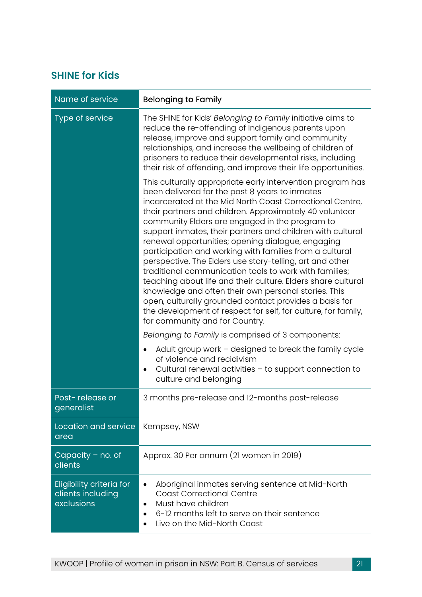#### **SHINE for Kids**

| Name of service                                                    | <b>Belonging to Family</b>                                                                                                                                                                                                                                                                                                                                                                                                                                                                                                                                                                                                                                                                                                                                                                                                                                                     |
|--------------------------------------------------------------------|--------------------------------------------------------------------------------------------------------------------------------------------------------------------------------------------------------------------------------------------------------------------------------------------------------------------------------------------------------------------------------------------------------------------------------------------------------------------------------------------------------------------------------------------------------------------------------------------------------------------------------------------------------------------------------------------------------------------------------------------------------------------------------------------------------------------------------------------------------------------------------|
| Type of service                                                    | The SHINE for Kids' Belonging to Family initiative aims to<br>reduce the re-offending of Indigenous parents upon<br>release, improve and support family and community<br>relationships, and increase the wellbeing of children of<br>prisoners to reduce their developmental risks, including<br>their risk of offending, and improve their life opportunities.                                                                                                                                                                                                                                                                                                                                                                                                                                                                                                                |
|                                                                    | This culturally appropriate early intervention program has<br>been delivered for the past 8 years to inmates<br>incarcerated at the Mid North Coast Correctional Centre,<br>their partners and children. Approximately 40 volunteer<br>community Elders are engaged in the program to<br>support inmates, their partners and children with cultural<br>renewal opportunities; opening dialogue, engaging<br>participation and working with families from a cultural<br>perspective. The Elders use story-telling, art and other<br>traditional communication tools to work with families;<br>teaching about life and their culture. Elders share cultural<br>knowledge and often their own personal stories. This<br>open, culturally grounded contact provides a basis for<br>the development of respect for self, for culture, for family,<br>for community and for Country. |
|                                                                    | Belonging to Family is comprised of 3 components:                                                                                                                                                                                                                                                                                                                                                                                                                                                                                                                                                                                                                                                                                                                                                                                                                              |
|                                                                    | Adult group work - designed to break the family cycle<br>$\bullet$<br>of violence and recidivism<br>Cultural renewal activities - to support connection to<br>$\bullet$<br>culture and belonging                                                                                                                                                                                                                                                                                                                                                                                                                                                                                                                                                                                                                                                                               |
| Post-release or<br>generalist                                      | 3 months pre-release and 12-months post-release                                                                                                                                                                                                                                                                                                                                                                                                                                                                                                                                                                                                                                                                                                                                                                                                                                |
| Location and service<br>area                                       | Kempsey, NSW                                                                                                                                                                                                                                                                                                                                                                                                                                                                                                                                                                                                                                                                                                                                                                                                                                                                   |
| $Capacity - no. of$<br>clients                                     | Approx. 30 Per annum (21 women in 2019)                                                                                                                                                                                                                                                                                                                                                                                                                                                                                                                                                                                                                                                                                                                                                                                                                                        |
| <b>Eligibility criteria for</b><br>clients including<br>exclusions | Aboriginal inmates serving sentence at Mid-North<br>$\bullet$<br><b>Coast Correctional Centre</b><br>Must have children<br>6-12 months left to serve on their sentence<br>$\bullet$<br>Live on the Mid-North Coast<br>٠                                                                                                                                                                                                                                                                                                                                                                                                                                                                                                                                                                                                                                                        |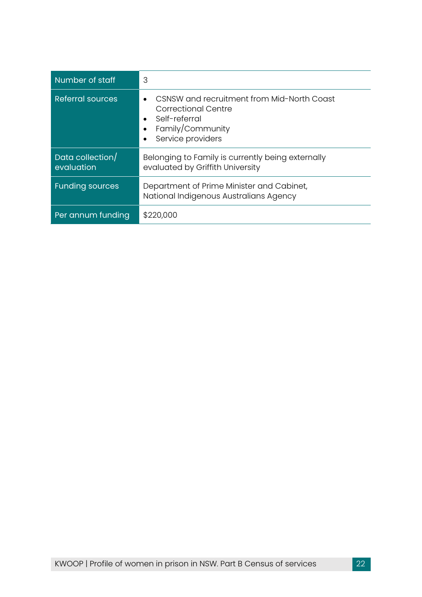| Number of staff                | 3                                                                                                                                  |
|--------------------------------|------------------------------------------------------------------------------------------------------------------------------------|
| <b>Referral sources</b>        | CSNSW and recruitment from Mid-North Coast<br><b>Correctional Centre</b><br>Self-referral<br>Family/Community<br>Service providers |
| Data collection/<br>evaluation | Belonging to Family is currently being externally<br>evaluated by Griffith University                                              |
| <b>Funding sources</b>         | Department of Prime Minister and Cabinet,<br>National Indigenous Australians Agency                                                |
| Per annum funding              | \$220,000                                                                                                                          |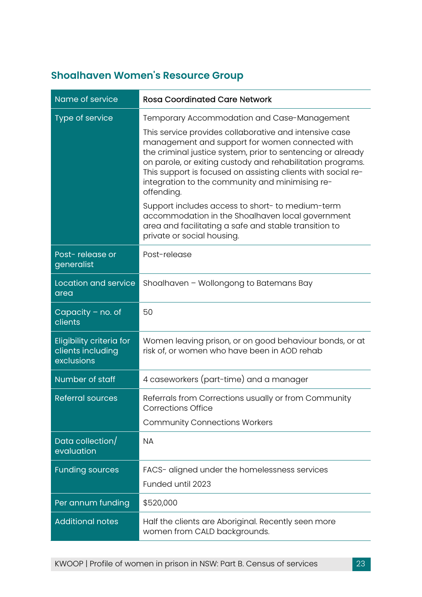## **Shoalhaven Women's Resource Group**

| Name of service                                                    | <b>Rosa Coordinated Care Network</b>                                                                                                                                                                                                                                                                                                                                                                                                                                                                                                                                                                                  |
|--------------------------------------------------------------------|-----------------------------------------------------------------------------------------------------------------------------------------------------------------------------------------------------------------------------------------------------------------------------------------------------------------------------------------------------------------------------------------------------------------------------------------------------------------------------------------------------------------------------------------------------------------------------------------------------------------------|
| Type of service                                                    | Temporary Accommodation and Case-Management<br>This service provides collaborative and intensive case<br>management and support for women connected with<br>the criminal justice system, prior to sentencing or already<br>on parole, or exiting custody and rehabilitation programs.<br>This support is focused on assisting clients with social re-<br>integration to the community and minimising re-<br>offending.<br>Support includes access to short- to medium-term<br>accommodation in the Shoalhaven local government<br>area and facilitating a safe and stable transition to<br>private or social housing. |
| Post-release or<br>generalist                                      | Post-release                                                                                                                                                                                                                                                                                                                                                                                                                                                                                                                                                                                                          |
| Location and service<br>area                                       | Shoalhaven - Wollongong to Batemans Bay                                                                                                                                                                                                                                                                                                                                                                                                                                                                                                                                                                               |
| Capacity - no. of<br>clients                                       | 50                                                                                                                                                                                                                                                                                                                                                                                                                                                                                                                                                                                                                    |
| <b>Eligibility criteria for</b><br>clients including<br>exclusions | Women leaving prison, or on good behaviour bonds, or at<br>risk of, or women who have been in AOD rehab                                                                                                                                                                                                                                                                                                                                                                                                                                                                                                               |
| Number of staff                                                    | 4 caseworkers (part-time) and a manager                                                                                                                                                                                                                                                                                                                                                                                                                                                                                                                                                                               |
| <b>Referral sources</b>                                            | Referrals from Corrections usually or from Community<br><b>Corrections Office</b><br><b>Community Connections Workers</b>                                                                                                                                                                                                                                                                                                                                                                                                                                                                                             |
| Data collection/<br>evaluation                                     | <b>NA</b>                                                                                                                                                                                                                                                                                                                                                                                                                                                                                                                                                                                                             |
| <b>Funding sources</b>                                             | FACS- aligned under the homelessness services<br>Funded until 2023                                                                                                                                                                                                                                                                                                                                                                                                                                                                                                                                                    |
| Per annum funding                                                  | \$520,000                                                                                                                                                                                                                                                                                                                                                                                                                                                                                                                                                                                                             |
| <b>Additional notes</b>                                            | Half the clients are Aboriginal. Recently seen more<br>women from CALD backgrounds.                                                                                                                                                                                                                                                                                                                                                                                                                                                                                                                                   |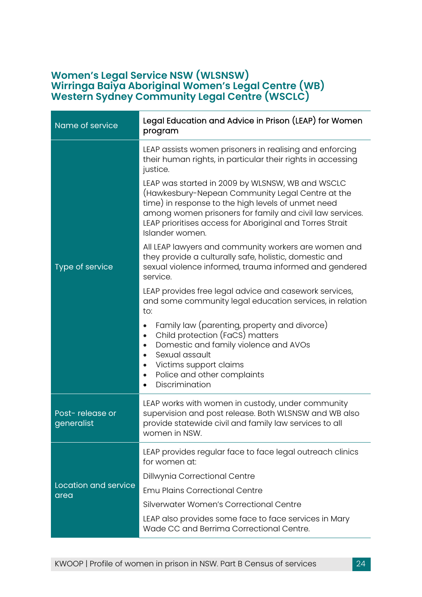#### **Women's Legal Service NSW (WLSNSW) Wirringa Baiya Aboriginal Women's Legal Centre (WB) Western Sydney Community Legal Centre (WSCLC)**

| Name of service               | Legal Education and Advice in Prison (LEAP) for Women<br>program                                                                                                                                                                                                                                      |
|-------------------------------|-------------------------------------------------------------------------------------------------------------------------------------------------------------------------------------------------------------------------------------------------------------------------------------------------------|
| Type of service               | LEAP assists women prisoners in realising and enforcing<br>their human rights, in particular their rights in accessing<br>justice.                                                                                                                                                                    |
|                               | LEAP was started in 2009 by WLSNSW, WB and WSCLC<br>(Hawkesbury-Nepean Community Legal Centre at the<br>time) in response to the high levels of unmet need<br>among women prisoners for family and civil law services.<br>LEAP prioritises access for Aboriginal and Torres Strait<br>Islander women. |
|                               | All LEAP lawyers and community workers are women and<br>they provide a culturally safe, holistic, domestic and<br>sexual violence informed, trauma informed and gendered<br>service.                                                                                                                  |
|                               | LEAP provides free legal advice and casework services,<br>and some community legal education services, in relation<br>to:                                                                                                                                                                             |
|                               | Family law (parenting, property and divorce)<br>$\bullet$<br>Child protection (FaCS) matters<br>$\bullet$<br>Domestic and family violence and AVOs<br>$\bullet$<br>Sexual assault<br>$\bullet$<br>Victims support claims<br>$\bullet$<br>Police and other complaints<br>$\bullet$<br>Discrimination   |
| Post-release or<br>generalist | LEAP works with women in custody, under community<br>supervision and post release. Both WLSNSW and WB also<br>provide statewide civil and family law services to all<br>women in NSW.                                                                                                                 |
| Location and service          | LEAP provides regular face to face legal outreach clinics<br>for women at:                                                                                                                                                                                                                            |
|                               | Dillwynia Correctional Centre                                                                                                                                                                                                                                                                         |
|                               | <b>Emu Plains Correctional Centre</b>                                                                                                                                                                                                                                                                 |
| area                          | Silverwater Women's Correctional Centre                                                                                                                                                                                                                                                               |
|                               | LEAP also provides some face to face services in Mary<br>Wade CC and Berrima Correctional Centre.                                                                                                                                                                                                     |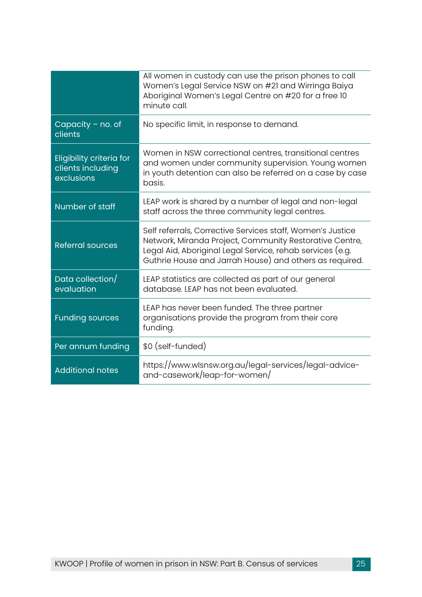|                                                                    | All women in custody can use the prison phones to call<br>Women's Legal Service NSW on #21 and Wirringa Baiya<br>Aboriginal Women's Legal Centre on #20 for a free 10<br>minute call.                                                         |
|--------------------------------------------------------------------|-----------------------------------------------------------------------------------------------------------------------------------------------------------------------------------------------------------------------------------------------|
| Capacity $-$ no. of<br>clients                                     | No specific limit, in response to demand.                                                                                                                                                                                                     |
| <b>Eligibility criteria for</b><br>clients including<br>exclusions | Women in NSW correctional centres, transitional centres<br>and women under community supervision. Young women<br>in youth detention can also be referred on a case by case<br>basis.                                                          |
| Number of staff                                                    | LEAP work is shared by a number of legal and non-legal<br>staff across the three community legal centres.                                                                                                                                     |
| <b>Referral sources</b>                                            | Self referrals, Corrective Services staff, Women's Justice<br>Network, Miranda Project, Community Restorative Centre,<br>Legal Aid, Aboriginal Legal Service, rehab services (e.g.<br>Guthrie House and Jarrah House) and others as required. |
| Data collection/<br>evaluation                                     | LEAP statistics are collected as part of our general<br>database. LEAP has not been evaluated.                                                                                                                                                |
| <b>Funding sources</b>                                             | LEAP has never been funded. The three partner<br>organisations provide the program from their core<br>funding.                                                                                                                                |
| Per annum funding                                                  | \$0 (self-funded)                                                                                                                                                                                                                             |
| <b>Additional notes</b>                                            | https://www.wlsnsw.org.au/legal-services/legal-advice-<br>and-casework/leap-for-women/                                                                                                                                                        |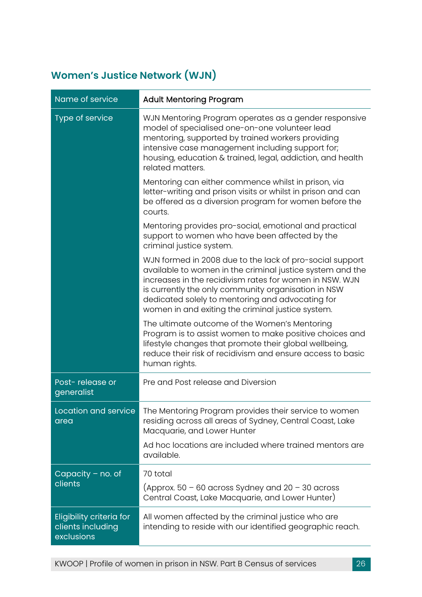## **Women's Justice Network (WJN)**

| Name of service                                                    | <b>Adult Mentoring Program</b>                                                                                                                                                                                                                                                                                                                   |
|--------------------------------------------------------------------|--------------------------------------------------------------------------------------------------------------------------------------------------------------------------------------------------------------------------------------------------------------------------------------------------------------------------------------------------|
| Type of service                                                    | WJN Mentoring Program operates as a gender responsive<br>model of specialised one-on-one volunteer lead<br>mentoring, supported by trained workers providing<br>intensive case management including support for;<br>housing, education & trained, legal, addiction, and health<br>related matters.                                               |
|                                                                    | Mentoring can either commence whilst in prison, via<br>letter-writing and prison visits or whilst in prison and can<br>be offered as a diversion program for women before the<br>courts.                                                                                                                                                         |
|                                                                    | Mentoring provides pro-social, emotional and practical<br>support to women who have been affected by the<br>criminal justice system.                                                                                                                                                                                                             |
|                                                                    | WJN formed in 2008 due to the lack of pro-social support<br>available to women in the criminal justice system and the<br>increases in the recidivism rates for women in NSW. WJN<br>is currently the only community organisation in NSW<br>dedicated solely to mentoring and advocating for<br>women in and exiting the criminal justice system. |
|                                                                    | The ultimate outcome of the Women's Mentoring<br>Program is to assist women to make positive choices and<br>lifestyle changes that promote their global wellbeing,<br>reduce their risk of recidivism and ensure access to basic<br>human rights.                                                                                                |
| Post-release or<br>generalist                                      | Pre and Post release and Diversion                                                                                                                                                                                                                                                                                                               |
| Location and service<br>area                                       | The Mentoring Program provides their service to women<br>residing across all areas of Sydney, Central Coast, Lake<br>Macquarie, and Lower Hunter                                                                                                                                                                                                 |
|                                                                    | Ad hoc locations are included where trained mentors are<br>available.                                                                                                                                                                                                                                                                            |
| Capacity $-$ no. of<br>clients                                     | 70 total<br>(Approx. $50 - 60$ across Sydney and $20 - 30$ across<br>Central Coast, Lake Macquarie, and Lower Hunter)                                                                                                                                                                                                                            |
| <b>Eligibility criteria for</b><br>clients including<br>exclusions | All women affected by the criminal justice who are<br>intending to reside with our identified geographic reach.                                                                                                                                                                                                                                  |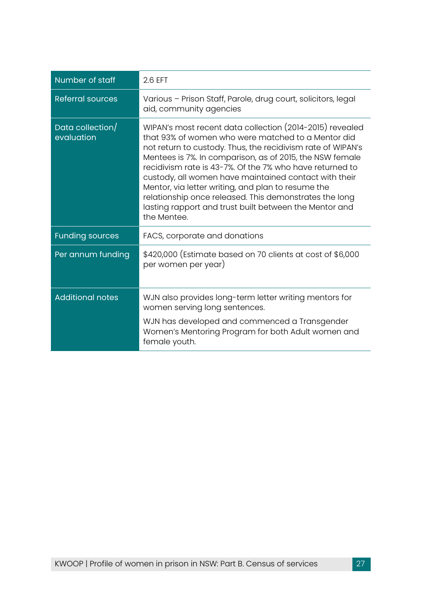| Number of staff                | 2.6 EFT                                                                                                                                                                                                                                                                                                                                                                                                                                                                                                                                                 |
|--------------------------------|---------------------------------------------------------------------------------------------------------------------------------------------------------------------------------------------------------------------------------------------------------------------------------------------------------------------------------------------------------------------------------------------------------------------------------------------------------------------------------------------------------------------------------------------------------|
| <b>Referral sources</b>        | Various - Prison Staff, Parole, drug court, solicitors, legal<br>aid, community agencies                                                                                                                                                                                                                                                                                                                                                                                                                                                                |
| Data collection/<br>evaluation | WIPAN's most recent data collection (2014-2015) revealed<br>that 93% of women who were matched to a Mentor did<br>not return to custody. Thus, the recidivism rate of WIPAN's<br>Mentees is 7%. In comparison, as of 2015, the NSW female<br>recidivism rate is 43-7%. Of the 7% who have returned to<br>custody, all women have maintained contact with their<br>Mentor, via letter writing, and plan to resume the<br>relationship once released. This demonstrates the long<br>lasting rapport and trust built between the Mentor and<br>the Mentee. |
| <b>Funding sources</b>         | FACS, corporate and donations                                                                                                                                                                                                                                                                                                                                                                                                                                                                                                                           |
| Per annum funding              | \$420,000 (Estimate based on 70 clients at cost of \$6,000<br>per women per year)                                                                                                                                                                                                                                                                                                                                                                                                                                                                       |
| <b>Additional notes</b>        | WJN also provides long-term letter writing mentors for<br>women serving long sentences.                                                                                                                                                                                                                                                                                                                                                                                                                                                                 |
|                                | WJN has developed and commenced a Transgender<br>Women's Mentoring Program for both Adult women and<br>female youth.                                                                                                                                                                                                                                                                                                                                                                                                                                    |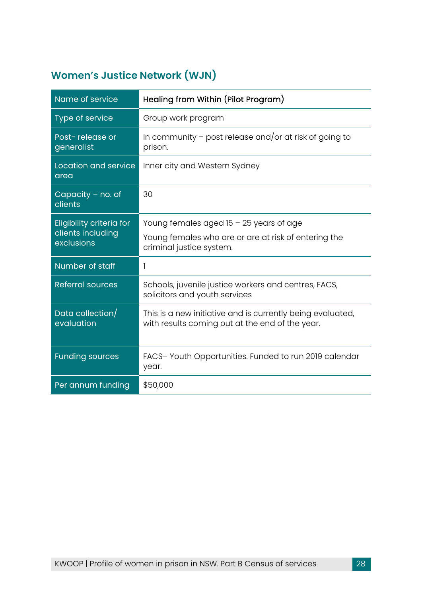## **Women's Justice Network (WJN)**

| Name of service                                                    | Healing from Within (Pilot Program)                                                                           |
|--------------------------------------------------------------------|---------------------------------------------------------------------------------------------------------------|
| <b>Type of service</b>                                             | Group work program                                                                                            |
| Post-release or<br>generalist                                      | In community – post release and/or at risk of going to<br>prison.                                             |
| Location and service<br>area                                       | Inner city and Western Sydney                                                                                 |
| Capacity $-$ no. of<br>clients                                     | 30                                                                                                            |
| <b>Eligibility criteria for</b><br>clients including<br>exclusions | Young females aged 15 - 25 years of age                                                                       |
|                                                                    | Young females who are or are at risk of entering the<br>criminal justice system.                              |
| Number of staff                                                    | 1                                                                                                             |
| <b>Referral sources</b>                                            | Schools, juvenile justice workers and centres, FACS,<br>solicitors and youth services                         |
| Data collection/<br>evaluation                                     | This is a new initiative and is currently being evaluated,<br>with results coming out at the end of the year. |
| <b>Funding sources</b>                                             | FACS-Youth Opportunities. Funded to run 2019 calendar<br>year.                                                |
| Per annum funding                                                  | \$50,000                                                                                                      |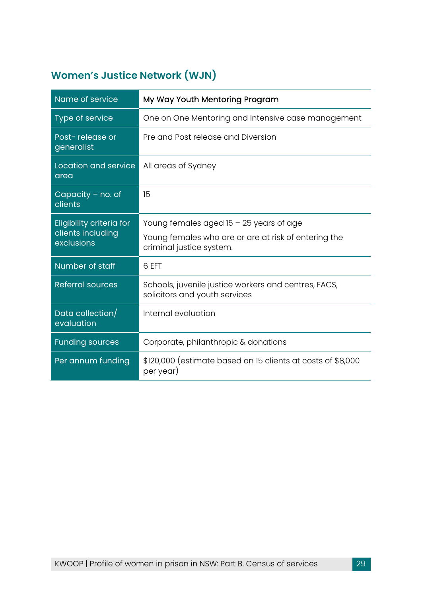## **Women's Justice Network (WJN)**

| Name of service                                                    | My Way Youth Mentoring Program                                                        |
|--------------------------------------------------------------------|---------------------------------------------------------------------------------------|
| <b>Type of service</b>                                             | One on One Mentoring and Intensive case management                                    |
| Post-release or<br>generalist                                      | Pre and Post release and Diversion                                                    |
| Location and service<br>area                                       | All areas of Sydney                                                                   |
| Capacity $-$ no. of<br>clients                                     | 15                                                                                    |
| <b>Eligibility criteria for</b><br>clients including<br>exclusions | Young females aged $15 - 25$ years of age                                             |
|                                                                    | Young females who are or are at risk of entering the<br>criminal justice system.      |
| Number of staff                                                    | 6 EFT                                                                                 |
| <b>Referral sources</b>                                            | Schools, juvenile justice workers and centres, FACS,<br>solicitors and youth services |
| Data collection/<br>evaluation                                     | Internal evaluation                                                                   |
| <b>Funding sources</b>                                             | Corporate, philanthropic & donations                                                  |
| Per annum funding                                                  | \$120,000 (estimate based on 15 clients at costs of \$8,000<br>per year)              |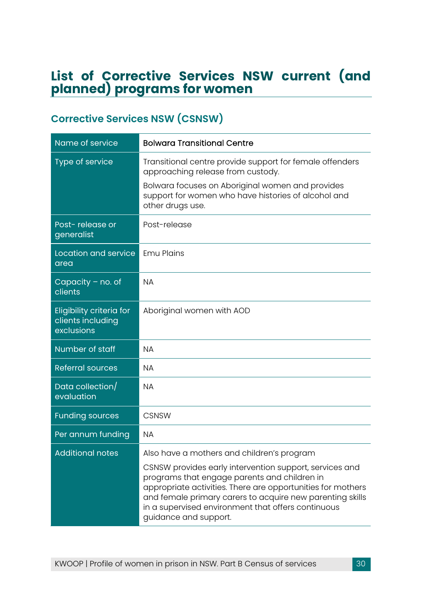## **List of Corrective Services NSW current (and planned) programs for women**

| Name of service                                             | <b>Bolwara Transitional Centre</b>                                                                                                                                                                                                                                                                                 |
|-------------------------------------------------------------|--------------------------------------------------------------------------------------------------------------------------------------------------------------------------------------------------------------------------------------------------------------------------------------------------------------------|
| Type of service                                             | Transitional centre provide support for female offenders<br>approaching release from custody.                                                                                                                                                                                                                      |
|                                                             | Bolwara focuses on Aboriginal women and provides<br>support for women who have histories of alcohol and<br>other drugs use.                                                                                                                                                                                        |
| Post-release or<br>generalist                               | Post-release                                                                                                                                                                                                                                                                                                       |
| Location and service<br>area                                | <b>Emu Plains</b>                                                                                                                                                                                                                                                                                                  |
| Capacity $-$ no. of<br>clients                              | <b>NA</b>                                                                                                                                                                                                                                                                                                          |
| Eligibility criteria for<br>clients including<br>exclusions | Aboriginal women with AOD                                                                                                                                                                                                                                                                                          |
| Number of staff                                             | <b>NA</b>                                                                                                                                                                                                                                                                                                          |
| <b>Referral sources</b>                                     | <b>NA</b>                                                                                                                                                                                                                                                                                                          |
| Data collection/<br>evaluation                              | <b>NA</b>                                                                                                                                                                                                                                                                                                          |
| <b>Funding sources</b>                                      | <b>CSNSW</b>                                                                                                                                                                                                                                                                                                       |
| Per annum funding                                           | <b>NA</b>                                                                                                                                                                                                                                                                                                          |
| <b>Additional notes</b>                                     | Also have a mothers and children's program                                                                                                                                                                                                                                                                         |
|                                                             | CSNSW provides early intervention support, services and<br>programs that engage parents and children in<br>appropriate activities. There are opportunities for mothers<br>and female primary carers to acquire new parenting skills<br>in a supervised environment that offers continuous<br>guidance and support. |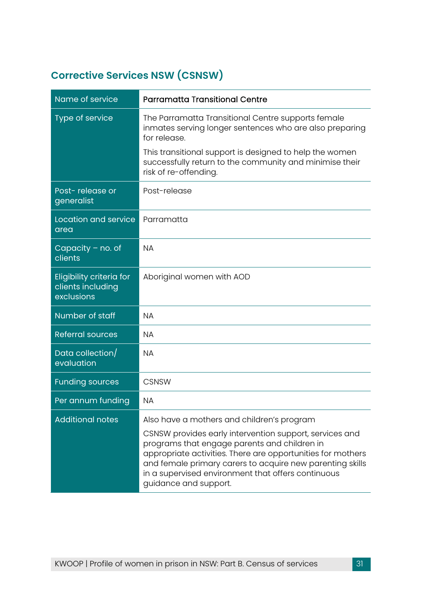| Name of service                                                    | <b>Parramatta Transitional Centre</b>                                                                                                                                                                                                                                                                              |
|--------------------------------------------------------------------|--------------------------------------------------------------------------------------------------------------------------------------------------------------------------------------------------------------------------------------------------------------------------------------------------------------------|
| Type of service                                                    | The Parramatta Transitional Centre supports female<br>inmates serving longer sentences who are also preparing<br>for release.                                                                                                                                                                                      |
|                                                                    | This transitional support is designed to help the women<br>successfully return to the community and minimise their<br>risk of re-offending.                                                                                                                                                                        |
| Post-release or<br>generalist                                      | Post-release                                                                                                                                                                                                                                                                                                       |
| Location and service<br>area                                       | Parramatta                                                                                                                                                                                                                                                                                                         |
| Capacity $-$ no. of<br>clients                                     | <b>NA</b>                                                                                                                                                                                                                                                                                                          |
| <b>Eligibility criteria for</b><br>clients including<br>exclusions | Aboriginal women with AOD                                                                                                                                                                                                                                                                                          |
| Number of staff                                                    | <b>NA</b>                                                                                                                                                                                                                                                                                                          |
| <b>Referral sources</b>                                            | <b>NA</b>                                                                                                                                                                                                                                                                                                          |
| Data collection/<br>evaluation                                     | <b>NA</b>                                                                                                                                                                                                                                                                                                          |
| <b>Funding sources</b>                                             | <b>CSNSW</b>                                                                                                                                                                                                                                                                                                       |
| Per annum funding                                                  | <b>NA</b>                                                                                                                                                                                                                                                                                                          |
| <b>Additional notes</b>                                            | Also have a mothers and children's program                                                                                                                                                                                                                                                                         |
|                                                                    | CSNSW provides early intervention support, services and<br>programs that engage parents and children in<br>appropriate activities. There are opportunities for mothers<br>and female primary carers to acquire new parenting skills<br>in a supervised environment that offers continuous<br>guidance and support. |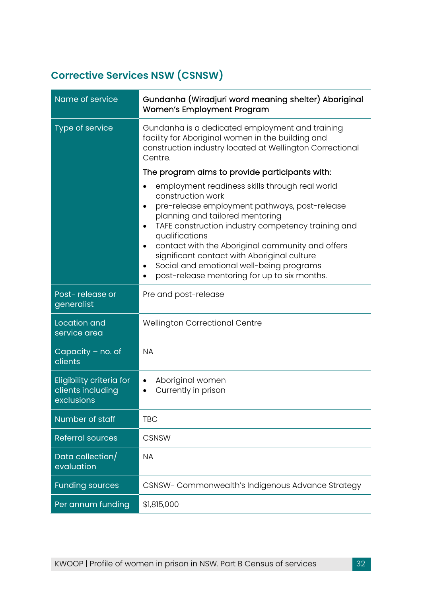| Name of service                                                    | Gundanha (Wiradjuri word meaning shelter) Aboriginal<br>Women's Employment Program                                                                                                                                                                                                                                                                                                                                                                                 |
|--------------------------------------------------------------------|--------------------------------------------------------------------------------------------------------------------------------------------------------------------------------------------------------------------------------------------------------------------------------------------------------------------------------------------------------------------------------------------------------------------------------------------------------------------|
| Type of service                                                    | Gundanha is a dedicated employment and training<br>facility for Aboriginal women in the building and<br>construction industry located at Wellington Correctional<br>Centre.                                                                                                                                                                                                                                                                                        |
|                                                                    | The program aims to provide participants with:                                                                                                                                                                                                                                                                                                                                                                                                                     |
|                                                                    | employment readiness skills through real world<br>construction work<br>pre-release employment pathways, post-release<br>planning and tailored mentoring<br>TAFE construction industry competency training and<br>$\bullet$<br>qualifications<br>contact with the Aboriginal community and offers<br>$\bullet$<br>significant contact with Aboriginal culture<br>Social and emotional well-being programs<br>٠<br>post-release mentoring for up to six months.<br>٠ |
| Post-release or<br>generalist                                      | Pre and post-release                                                                                                                                                                                                                                                                                                                                                                                                                                               |
| Location and<br>service area                                       | Wellington Correctional Centre                                                                                                                                                                                                                                                                                                                                                                                                                                     |
| Capacity $-$ no. of<br>clients                                     | <b>NA</b>                                                                                                                                                                                                                                                                                                                                                                                                                                                          |
| <b>Eligibility criteria for</b><br>clients including<br>exclusions | Aboriginal women<br>٠<br>Currently in prison<br>$\bullet$                                                                                                                                                                                                                                                                                                                                                                                                          |
| Number of staff                                                    | <b>TBC</b>                                                                                                                                                                                                                                                                                                                                                                                                                                                         |
| <b>Referral sources</b>                                            | <b>CSNSW</b>                                                                                                                                                                                                                                                                                                                                                                                                                                                       |
| Data collection/<br>evaluation                                     | <b>NA</b>                                                                                                                                                                                                                                                                                                                                                                                                                                                          |
| <b>Funding sources</b>                                             | CSNSW- Commonwealth's Indigenous Advance Strategy                                                                                                                                                                                                                                                                                                                                                                                                                  |
| Per annum funding                                                  | \$1,815,000                                                                                                                                                                                                                                                                                                                                                                                                                                                        |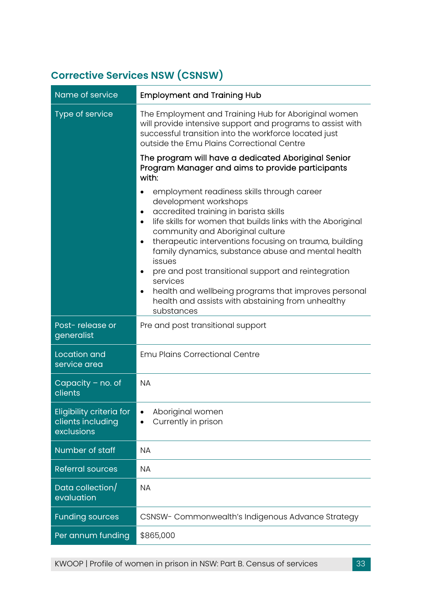| Name of service                                             | <b>Employment and Training Hub</b>                                                                                                                                                                                                                                                                                                                                                                                                                                                                                    |
|-------------------------------------------------------------|-----------------------------------------------------------------------------------------------------------------------------------------------------------------------------------------------------------------------------------------------------------------------------------------------------------------------------------------------------------------------------------------------------------------------------------------------------------------------------------------------------------------------|
| Type of service                                             | The Employment and Training Hub for Aboriginal women<br>will provide intensive support and programs to assist with<br>successful transition into the workforce located just<br>outside the Emu Plains Correctional Centre<br>The program will have a dedicated Aboriginal Senior<br>Program Manager and aims to provide participants                                                                                                                                                                                  |
|                                                             | with:<br>employment readiness skills through career                                                                                                                                                                                                                                                                                                                                                                                                                                                                   |
|                                                             | development workshops<br>accredited training in barista skills<br>٠<br>life skills for women that builds links with the Aboriginal<br>community and Aboriginal culture<br>therapeutic interventions focusing on trauma, building<br>$\bullet$<br>family dynamics, substance abuse and mental health<br>issues<br>pre and post transitional support and reintegration<br>٠<br>services<br>health and wellbeing programs that improves personal<br>٠<br>health and assists with abstaining from unhealthy<br>substances |
| Post-release or<br>generalist                               | Pre and post transitional support                                                                                                                                                                                                                                                                                                                                                                                                                                                                                     |
| Location and<br>service area                                | <b>Emu Plains Correctional Centre</b>                                                                                                                                                                                                                                                                                                                                                                                                                                                                                 |
| Capacity $-$ no. of<br>clients                              | <b>NA</b>                                                                                                                                                                                                                                                                                                                                                                                                                                                                                                             |
| Eligibility criteria for<br>clients including<br>exclusions | Aboriginal women<br>Currently in prison                                                                                                                                                                                                                                                                                                                                                                                                                                                                               |
| Number of staff                                             | <b>NA</b>                                                                                                                                                                                                                                                                                                                                                                                                                                                                                                             |
| <b>Referral sources</b>                                     | <b>NA</b>                                                                                                                                                                                                                                                                                                                                                                                                                                                                                                             |
| Data collection/<br>evaluation                              | <b>NA</b>                                                                                                                                                                                                                                                                                                                                                                                                                                                                                                             |
| <b>Funding sources</b>                                      | CSNSW- Commonwealth's Indigenous Advance Strategy                                                                                                                                                                                                                                                                                                                                                                                                                                                                     |
| Per annum funding                                           | \$865,000                                                                                                                                                                                                                                                                                                                                                                                                                                                                                                             |